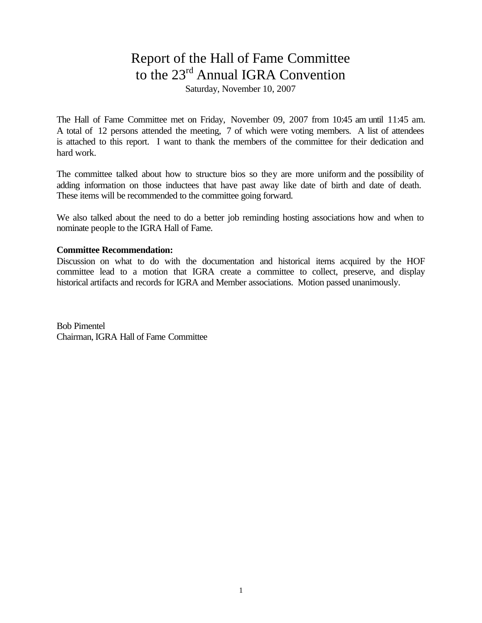## Report of the Hall of Fame Committee to the 23<sup>rd</sup> Annual IGRA Convention

Saturday, November 10, 2007

The Hall of Fame Committee met on Friday, November 09, 2007 from 10:45 am until 11:45 am. A total of 12 persons attended the meeting, 7 of which were voting members. A list of attendees is attached to this report. I want to thank the members of the committee for their dedication and hard work.

The committee talked about how to structure bios so they are more uniform and the possibility of adding information on those inductees that have past away like date of birth and date of death. These items will be recommended to the committee going forward.

We also talked about the need to do a better job reminding hosting associations how and when to nominate people to the IGRA Hall of Fame.

## **Committee Recommendation:**

Discussion on what to do with the documentation and historical items acquired by the HOF committee lead to a motion that IGRA create a committee to collect, preserve, and display historical artifacts and records for IGRA and Member associations. Motion passed unanimously.

Bob Pimentel Chairman, IGRA Hall of Fame Committee